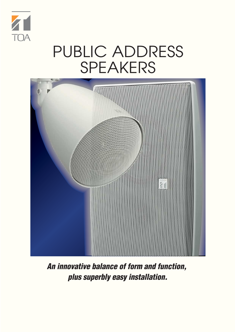

# PUBLIC ADDRESS SPEAKERS



**An innovative balance of form and function, plus superbly easy installation.**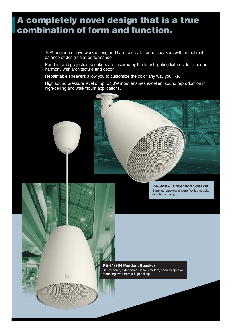### **A completely novel design that is a true combination of form and function.**

TOA engineers have worked long and hard to create round speakers with an optimal balance of design and performance.

Pendant and projection speakers are inspired by the finest lighting fixtures, for a perfect harmony with architecture and decor.

Repaintable speakers allow you to customize the color any way you like.

High sound pressure level of up to 30W input ensures excellent sound reproduction in high-ceiling and wall-mount applications.

> **PJ-64/304 Projection Speaker** Supplied brackets ensure flexible speaker direction changes.

**PE-64/304 Pendant Speaker** Sturdy cable, extendable up to 5 meters, enables speaker mounting even from a high ceiling.

8回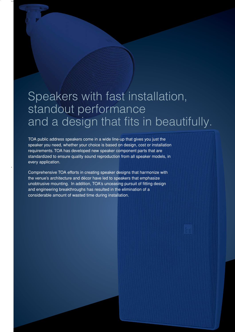## Speakers with fast installation, standout performance and a design that fits in beautifully.

TOA public address speakers come in a wide line-up that gives you just the speaker you need, whether your choice is based on design, cost or installation requirements. TOA has developed new speaker component parts that are standardized to ensure quality sound reproduction from all speaker models, in every application.

Comprehensive TOA efforts in creating speaker designs that harmonize with the venue's architecture and décor have led to speakers that emphasize unobtrusive mounting. In addition, TOA's unceasing pursuit of fitting design and engineering breakthroughs has resulted in the elimination of a considerable amount of wasted time during installation.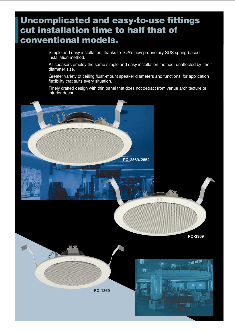#### **Uncomplicated and easy-to-use fittings cut installation time to half that of conventional models.**

Simple and easy installation, thanks to TOA's new proprietary SUS spring-based installation method.

All speakers employ the same simple and easy installation method, unaffected by their diameter size.

Greater variety of ceiling flush-mount speaker diameters and functions, for application flexibility that suits every situation.

Finely crafted design with thin panel that does not detract from venue architecture or interior decor.

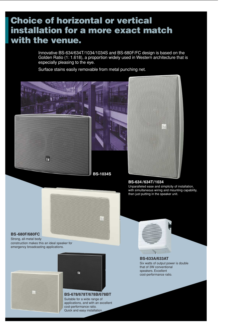### **Choice of horizontal or vertical installation for a more exact match with the venue.**

Innovative BS-634/634T/1034/1034S and BS-680F/FC design is based on the Golden Ratio (1: 1.618), a proportion widely used in Western architecture that is especially pleasing to the eye.

Surface stains easily removable from metal punching net.